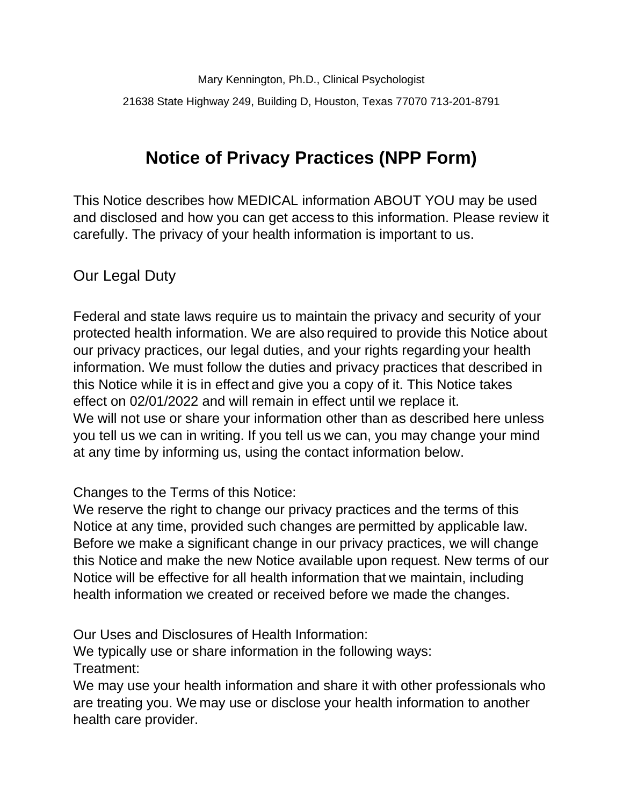Mary Kennington, Ph.D., Clinical Psychologist 21638 State Highway 249, Building D, Houston, Texas 77070 713-201-8791

# **Notice of Privacy Practices (NPP Form)**

This Notice describes how MEDICAL information ABOUT YOU may be used and disclosed and how you can get access to this information. Please review it carefully. The privacy of your health information is important to us.

Our Legal Duty

Federal and state laws require us to maintain the privacy and security of your protected health information. We are also required to provide this Notice about our privacy practices, our legal duties, and your rights regarding your health information. We must follow the duties and privacy practices that described in this Notice while it is in effect and give you a copy of it. This Notice takes effect on 02/01/2022 and will remain in effect until we replace it. We will not use or share your information other than as described here unless you tell us we can in writing. If you tell us we can, you may change your mind at any time by informing us, using the contact information below.

Changes to the Terms of this Notice:

We reserve the right to change our privacy practices and the terms of this Notice at any time, provided such changes are permitted by applicable law. Before we make a significant change in our privacy practices, we will change this Notice and make the new Notice available upon request. New terms of our Notice will be effective for all health information that we maintain, including health information we created or received before we made the changes.

Our Uses and Disclosures of Health Information:

We typically use or share information in the following ways:

Treatment:

We may use your health information and share it with other professionals who are treating you. We may use or disclose your health information to another health care provider.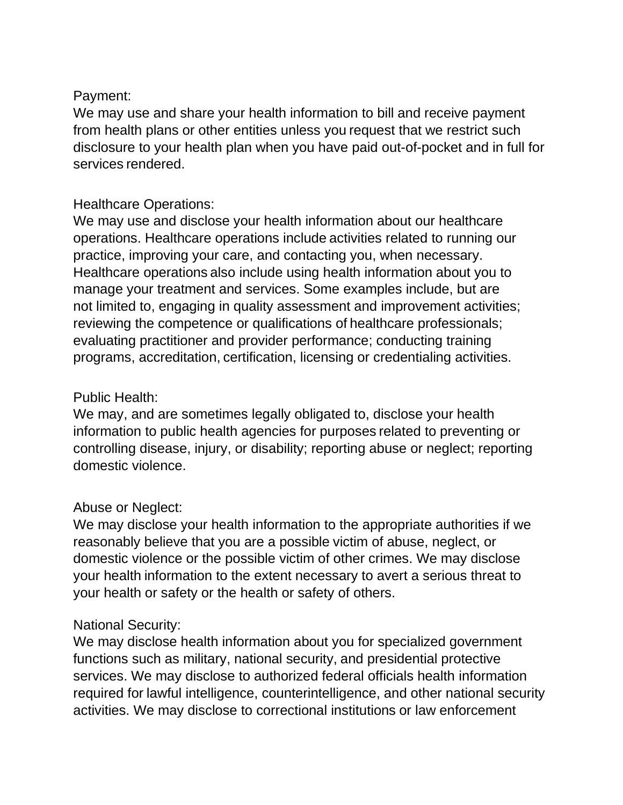# Payment:

We may use and share your health information to bill and receive payment from health plans or other entities unless you request that we restrict such disclosure to your health plan when you have paid out-of-pocket and in full for services rendered.

# Healthcare Operations:

We may use and disclose your health information about our healthcare operations. Healthcare operations include activities related to running our practice, improving your care, and contacting you, when necessary. Healthcare operations also include using health information about you to manage your treatment and services. Some examples include, but are not limited to, engaging in quality assessment and improvement activities; reviewing the competence or qualifications of healthcare professionals; evaluating practitioner and provider performance; conducting training programs, accreditation, certification, licensing or credentialing activities.

# Public Health:

We may, and are sometimes legally obligated to, disclose your health information to public health agencies for purposes related to preventing or controlling disease, injury, or disability; reporting abuse or neglect; reporting domestic violence.

# Abuse or Neglect:

We may disclose your health information to the appropriate authorities if we reasonably believe that you are a possible victim of abuse, neglect, or domestic violence or the possible victim of other crimes. We may disclose your health information to the extent necessary to avert a serious threat to your health or safety or the health or safety of others.

## National Security:

We may disclose health information about you for specialized government functions such as military, national security, and presidential protective services. We may disclose to authorized federal officials health information required for lawful intelligence, counterintelligence, and other national security activities. We may disclose to correctional institutions or law enforcement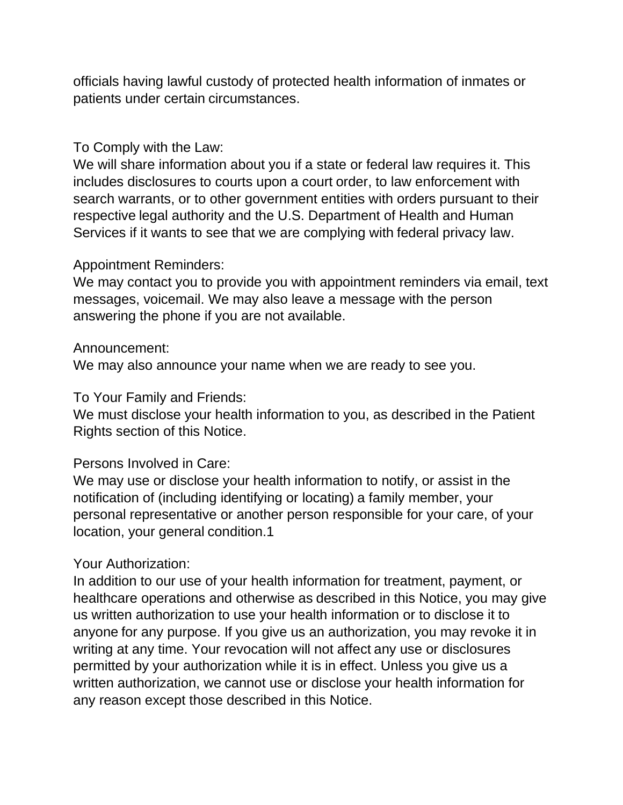officials having lawful custody of protected health information of inmates or patients under certain circumstances.

#### To Comply with the Law:

We will share information about you if a state or federal law requires it. This includes disclosures to courts upon a court order, to law enforcement with search warrants, or to other government entities with orders pursuant to their respective legal authority and the U.S. Department of Health and Human Services if it wants to see that we are complying with federal privacy law.

#### Appointment Reminders:

We may contact you to provide you with appointment reminders via email, text messages, voicemail. We may also leave a message with the person answering the phone if you are not available.

#### Announcement:

We may also announce your name when we are ready to see you.

## To Your Family and Friends:

We must disclose your health information to you, as described in the Patient Rights section of this Notice.

## Persons Involved in Care:

We may use or disclose your health information to notify, or assist in the notification of (including identifying or locating) a family member, your personal representative or another person responsible for your care, of your location, your general condition.1

#### Your Authorization:

In addition to our use of your health information for treatment, payment, or healthcare operations and otherwise as described in this Notice, you may give us written authorization to use your health information or to disclose it to anyone for any purpose. If you give us an authorization, you may revoke it in writing at any time. Your revocation will not affect any use or disclosures permitted by your authorization while it is in effect. Unless you give us a written authorization, we cannot use or disclose your health information for any reason except those described in this Notice.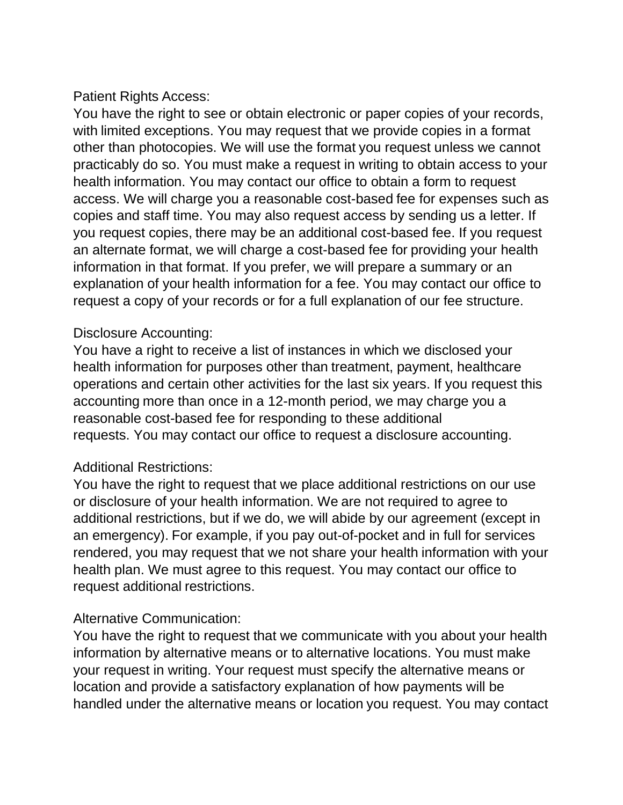## Patient Rights Access:

You have the right to see or obtain electronic or paper copies of your records, with limited exceptions. You may request that we provide copies in a format other than photocopies. We will use the format you request unless we cannot practicably do so. You must make a request in writing to obtain access to your health information. You may contact our office to obtain a form to request access. We will charge you a reasonable cost-based fee for expenses such as copies and staff time. You may also request access by sending us a letter. If you request copies, there may be an additional cost-based fee. If you request an alternate format, we will charge a cost-based fee for providing your health information in that format. If you prefer, we will prepare a summary or an explanation of your health information for a fee. You may contact our office to request a copy of your records or for a full explanation of our fee structure.

### Disclosure Accounting:

You have a right to receive a list of instances in which we disclosed your health information for purposes other than treatment, payment, healthcare operations and certain other activities for the last six years. If you request this accounting more than once in a 12-month period, we may charge you a reasonable cost-based fee for responding to these additional requests. You may contact our office to request a disclosure accounting.

## Additional Restrictions:

You have the right to request that we place additional restrictions on our use or disclosure of your health information. We are not required to agree to additional restrictions, but if we do, we will abide by our agreement (except in an emergency). For example, if you pay out-of-pocket and in full for services rendered, you may request that we not share your health information with your health plan. We must agree to this request. You may contact our office to request additional restrictions.

#### Alternative Communication:

You have the right to request that we communicate with you about your health information by alternative means or to alternative locations. You must make your request in writing. Your request must specify the alternative means or location and provide a satisfactory explanation of how payments will be handled under the alternative means or location you request. You may contact